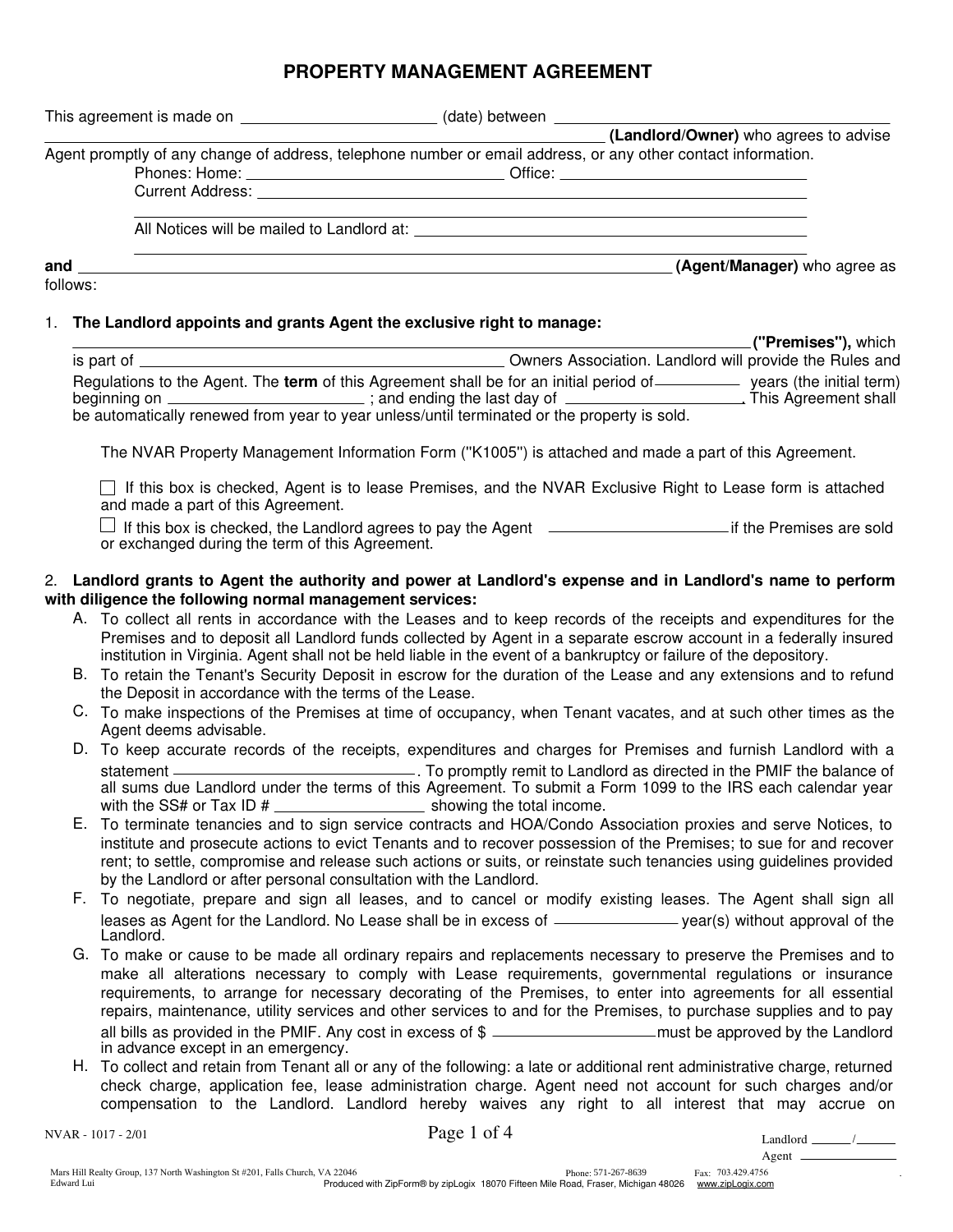# **PROPERTY MANAGEMENT AGREEMENT**

|     | This agreement is made on <b>container the set of the set of the set of the set of the set of the set of the set of the set of the set of the set of the set of the set of the set of the set of the set of the set of the set o</b> |                                                                                                               |                                       |
|-----|--------------------------------------------------------------------------------------------------------------------------------------------------------------------------------------------------------------------------------------|---------------------------------------------------------------------------------------------------------------|---------------------------------------|
|     |                                                                                                                                                                                                                                      | Agent promptly of any change of address, telephone number or email address, or any other contact information. | (Landlord/Owner) who agrees to advise |
|     |                                                                                                                                                                                                                                      |                                                                                                               |                                       |
|     |                                                                                                                                                                                                                                      | All Notices will be mailed to Landlord at: All Notice of All Notices will be mailed to $\sim$                 |                                       |
| and |                                                                                                                                                                                                                                      |                                                                                                               | (Agent/Manager) who agree as          |

follows:

## 1. **The Landlord appoints and grants Agent the exclusive right to manage:**

|                                                                                                                                                                                                                                       | . <b>(''Premises''),</b> which                                                                               |
|---------------------------------------------------------------------------------------------------------------------------------------------------------------------------------------------------------------------------------------|--------------------------------------------------------------------------------------------------------------|
| is part of .                                                                                                                                                                                                                          | Owners Association. Landlord will provide the Rules and                                                      |
| Regulations to the Agent. The <b>term</b> of this Agreement shall be for an initial period of<br>beginning on ________________________<br>be automatically renewed from year to year unless/until terminated or the property is sold. | years (the initial term)<br>This Agreement shall<br>$\frac{1}{2}$ ; and ending the last day of $\frac{1}{2}$ |

The NVAR Property Management Information Form (''K1005'') is attached and made a part of this Agreement.

 $\Box$  If this box is checked, Agent is to lease Premises, and the NVAR Exclusive Right to Lease form is attached and made a part of this Agreement.

 $\Box$  If this box is checked, the Landlord agrees to pay the Agent  $\Box$  if the Premises are sold or exchanged during the term of this Agreement.

#### 2. **Landlord grants to Agent the authority and power at Landlord's expense and in Landlord's name to perform with diligence the following normal management services:**

- A. To collect all rents in accordance with the Leases and to keep records of the receipts and expenditures for the Premises and to deposit all Landlord funds collected by Agent in a separate escrow account in a federally insured institution in Virginia. Agent shall not be held liable in the event of a bankruptcy or failure of the depository.
- B. To retain the Tenant's Security Deposit in escrow for the duration of the Lease and any extensions and to refund the Deposit in accordance with the terms of the Lease.
- C. To make inspections of the Premises at time of occupancy, when Tenant vacates, and at such other times as the Agent deems advisable.
- D. To keep accurate records of the receipts, expenditures and charges for Premises and furnish Landlord with a statement. To promptly remit to Landlord as directed in the PMIF the balance of all sums due Landlord under the terms of this Agreement. To submit a Form 1099 to the IRS each calendar year with the SS# or Tax  $ID$  #  $\frac{1}{1}$  showing the total income.
- E. To terminate tenancies and to sign service contracts and HOA/Condo Association proxies and serve Notices, to institute and prosecute actions to evict Tenants and to recover possession of the Premises; to sue for and recover rent; to settle, compromise and release such actions or suits, or reinstate such tenancies using guidelines provided by the Landlord or after personal consultation with the Landlord.
- F. To negotiate, prepare and sign all leases, and to cancel or modify existing leases. The Agent shall sign all leases as Agent for the Landlord. No Lease shall be in excess of **contained a set of the set of the** leases as Agent for the Landlord.
- G. To make or cause to be made all ordinary repairs and replacements necessary to preserve the Premises and to make all alterations necessary to comply with Lease requirements, governmental regulations or insurance requirements, to arrange for necessary decorating of the Premises, to enter into agreements for all essential repairs, maintenance, utility services and other services to and for the Premises, to purchase supplies and to pay all bills as provided in the PMIF. Any cost in excess of  $\frac{1}{2}$  must be approved by the Landlord in advance except in an emergency.
- H. To collect and retain from Tenant all or any of the following: a late or additional rent administrative charge, returned check charge, application fee, lease administration charge. Agent need not account for such charges and/or compensation to the Landlord. Landlord hereby waives any right to all interest that may accrue on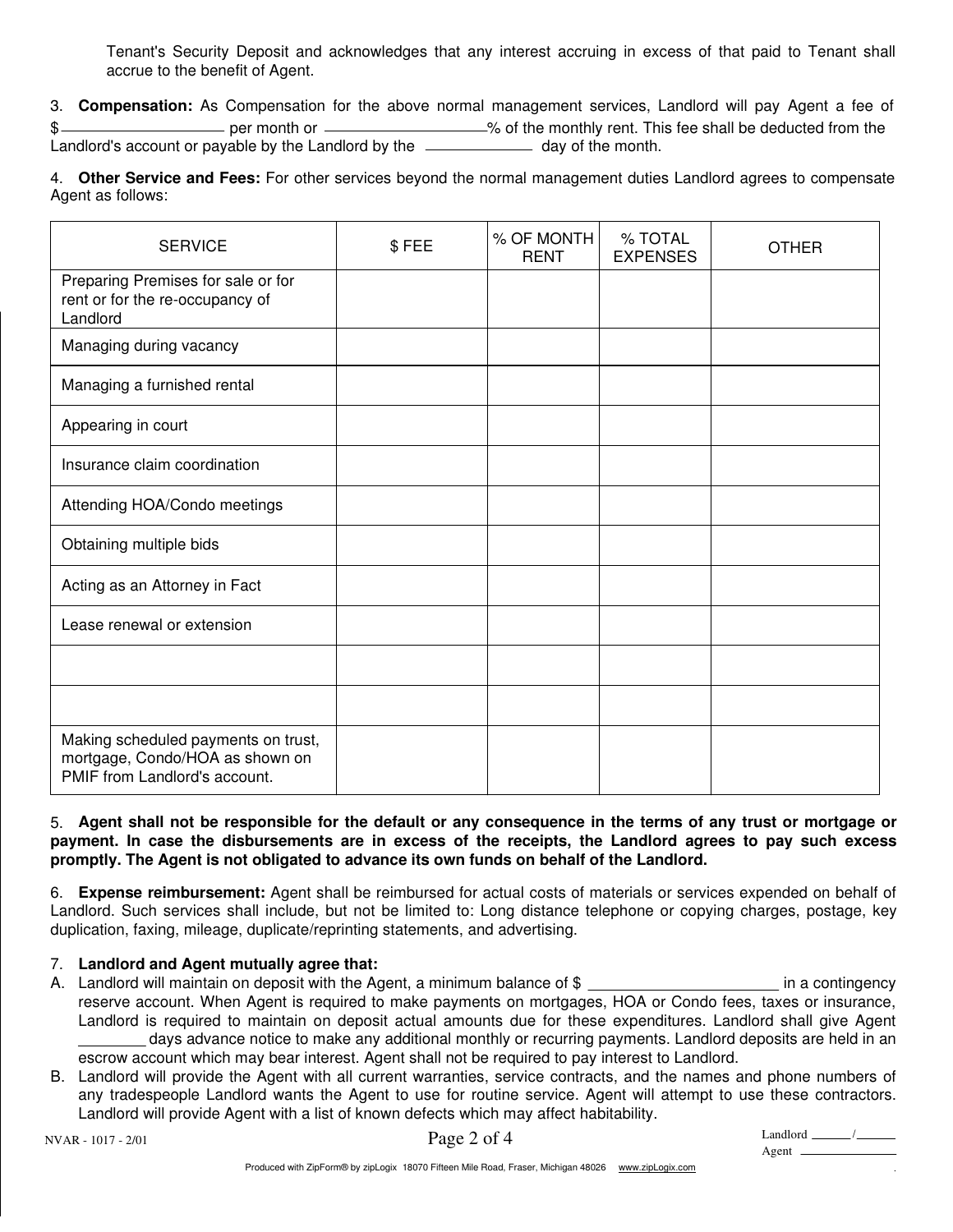Tenant's Security Deposit and acknowledges that any interest accruing in excess of that paid to Tenant shall accrue to the benefit of Agent.

3. **Compensation:** As Compensation for the above normal management services, Landlord will pay Agent a fee of  $\frac{1}{2}$  per month or *multimes* of the monthly rent. This fee shall be deducted from the Landlord's account or payable by the Landlord by the *day* day of the month.

4. **Other Service and Fees:** For other services beyond the normal management duties Landlord agrees to compensate Agent as follows:

| <b>SERVICE</b>                                                                                          | \$FEE | % OF MONTH<br><b>RENT</b> | % TOTAL<br><b>EXPENSES</b> | <b>OTHER</b> |
|---------------------------------------------------------------------------------------------------------|-------|---------------------------|----------------------------|--------------|
| Preparing Premises for sale or for<br>rent or for the re-occupancy of<br>Landlord                       |       |                           |                            |              |
| Managing during vacancy                                                                                 |       |                           |                            |              |
| Managing a furnished rental                                                                             |       |                           |                            |              |
| Appearing in court                                                                                      |       |                           |                            |              |
| Insurance claim coordination                                                                            |       |                           |                            |              |
| Attending HOA/Condo meetings                                                                            |       |                           |                            |              |
| Obtaining multiple bids                                                                                 |       |                           |                            |              |
| Acting as an Attorney in Fact                                                                           |       |                           |                            |              |
| Lease renewal or extension                                                                              |       |                           |                            |              |
|                                                                                                         |       |                           |                            |              |
|                                                                                                         |       |                           |                            |              |
| Making scheduled payments on trust,<br>mortgage, Condo/HOA as shown on<br>PMIF from Landlord's account. |       |                           |                            |              |

## 5. **Agent shall not be responsible for the default or any consequence in the terms of any trust or mortgage or payment. In case the disbursements are in excess of the receipts, the Landlord agrees to pay such excess promptly. The Agent is not obligated to advance its own funds on behalf of the Landlord.**

6. **Expense reimbursement:** Agent shall be reimbursed for actual costs of materials or services expended on behalf of Landlord. Such services shall include, but not be limited to: Long distance telephone or copying charges, postage, key duplication, faxing, mileage, duplicate/reprinting statements, and advertising.

## 7. **Landlord and Agent mutually agree that:**

- A. Landlord will maintain on deposit with the Agent, a minimum balance of \$ \_\_\_\_\_\_\_\_\_\_\_\_\_\_\_\_\_\_\_\_\_\_\_\_ in a contingency reserve account. When Agent is required to make payments on mortgages, HOA or Condo fees, taxes or insurance, Landlord is required to maintain on deposit actual amounts due for these expenditures. Landlord shall give Agent days advance notice to make any additional monthly or recurring payments. Landlord deposits are held in an escrow account which may bear interest. Agent shall not be required to pay interest to Landlord.
- B. Landlord will provide the Agent with all current warranties, service contracts, and the names and phone numbers of any tradespeople Landlord wants the Agent to use for routine service. Agent will attempt to use these contractors. Landlord will provide Agent with a list of known defects which may affect habitability.

.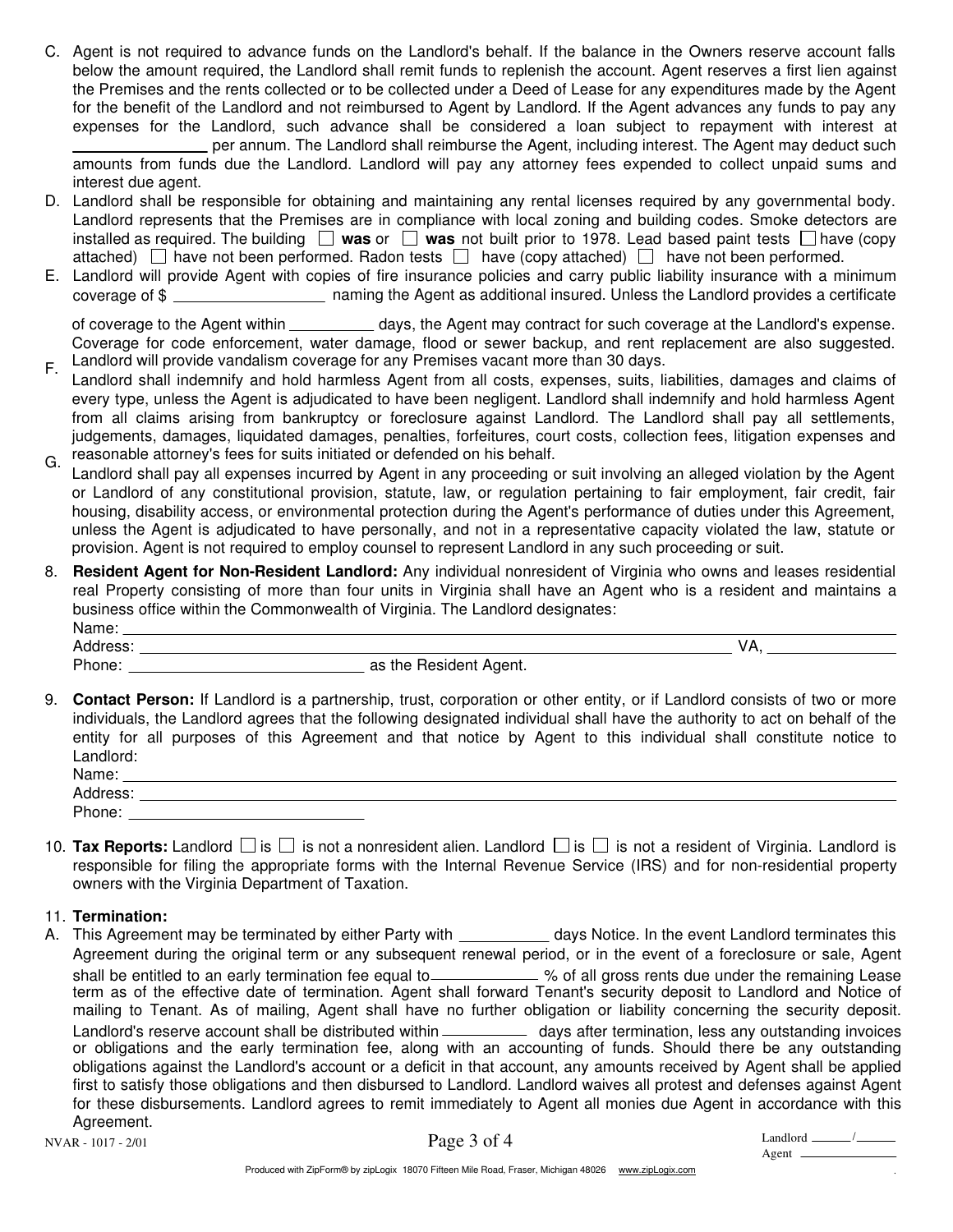C. Agent is not required to advance funds on the Landlord's behalf. If the balance in the Owners reserve account falls below the amount required, the Landlord shall remit funds to replenish the account. Agent reserves a first lien against the Premises and the rents collected or to be collected under a Deed of Lease for any expenditures made by the Agent for the benefit of the Landlord and not reimbursed to Agent by Landlord. If the Agent advances any funds to pay any expenses for the Landlord, such advance shall be considered a loan subject to repayment with interest at per annum. The Landlord shall reimburse the Agent, including interest. The Agent may deduct such

amounts from funds due the Landlord. Landlord will pay any attorney fees expended to collect unpaid sums and interest due agent.

- D. Landlord shall be responsible for obtaining and maintaining any rental licenses required by any governmental body. Landlord represents that the Premises are in compliance with local zoning and building codes. Smoke detectors are installed as required. The building  $\Box$  was or  $\Box$  was not built prior to 1978. Lead based paint tests  $\Box$  have (copy attached)  $\Box$  have not been performed. Radon tests  $\Box$  have (copy attached)  $\Box$  have not been performed.
- Landlord will provide Agent with copies of fire insurance policies and carry public liability insurance with a minimum E. naming the Agent as additional insured. Unless the Landlord provides a certificate coverage of \$

of coverage to the Agent within days, the Agent may contract for such coverage at the Landlord's expense. Coverage for code enforcement, water damage, flood or sewer backup, and rent replacement are also suggested. Landlord will provide vandalism coverage for any Premises vacant more than 30 days.

- Landlord shall indemnify and hold harmless Agent from all costs, expenses, suits, liabilities, damages and claims of every type, unless the Agent is adjudicated to have been negligent. Landlord shall indemnify and hold harmless Agent from all claims arising from bankruptcy or foreclosure against Landlord. The Landlord shall pay all settlements, judgements, damages, liquidated damages, penalties, forfeitures, court costs, collection fees, litigation expenses and reasonable attorney's fees for suits initiated or defended on his behalf. F. G.
- Landlord shall pay all expenses incurred by Agent in any proceeding or suit involving an alleged violation by the Agent or Landlord of any constitutional provision, statute, law, or regulation pertaining to fair employment, fair credit, fair housing, disability access, or environmental protection during the Agent's performance of duties under this Agreement, unless the Agent is adjudicated to have personally, and not in a representative capacity violated the law, statute or provision. Agent is not required to employ counsel to represent Landlord in any such proceeding or suit.
- 8. **Resident Agent for Non-Resident Landlord:** Any individual nonresident of Virginia who owns and leases residential real Property consisting of more than four units in Virginia shall have an Agent who is a resident and maintains a business office within the Commonwealth of Virginia. The Landlord designates:

| Name.  |                                |  |
|--------|--------------------------------|--|
| dress: |                                |  |
| Phone: | as<br>Resident Agent.<br>, the |  |

9. **Contact Person:** If Landlord is a partnership, trust, corporation or other entity, or if Landlord consists of two or more individuals, the Landlord agrees that the following designated individual shall have the authority to act on behalf of the entity for all purposes of this Agreement and that notice by Agent to this individual shall constitute notice to Landlord:

| Name:           |  |
|-----------------|--|
| Addrey<br>. כסט |  |
| Phone.          |  |

10. **Tax Reports:** Landlord  $\Box$  is  $\Box$  is not a nonresident alien. Landlord  $\Box$  is  $\Box$  is not a resident of Virginia. Landlord is responsible for filing the appropriate forms with the Internal Revenue Service (IRS) and for non-residential property owners with the Virginia Department of Taxation.

#### 11. **Termination:**

A. This Agreement may be terminated by either Party with \_\_\_\_\_\_\_\_\_\_\_ days Notice. In the event Landlord terminates this Agreement during the original term or any subsequent renewal period, or in the event of a foreclosure or sale, Agent shall be entitled to an early termination fee equal to *\_\_\_\_\_\_\_\_\_\_\_\_\_ %* of all gross rents due under the remaining Lease term as of the effective date of termination. Agent shall forward Tenant's security deposit to Landlord and Notice of mailing to Tenant. As of mailing, Agent shall have no further obligation or liability concerning the security deposit. Landlord's reserve account shall be distributed within *diana Largus after termination*, less any outstanding invoices or obligations and the early termination fee, along with an accounting of funds. Should there be any outstanding obligations against the Landlord's account or a deficit in that account, any amounts received by Agent shall be applied first to satisfy those obligations and then disbursed to Landlord. Landlord waives all protest and defenses against Agent for these disbursements. Landlord agrees to remit immediately to Agent all monies due Agent in accordance with this Agreement.

Page 3 of 4  $\qquad$ 

| Landlord |  |
|----------|--|
| Agent    |  |

.